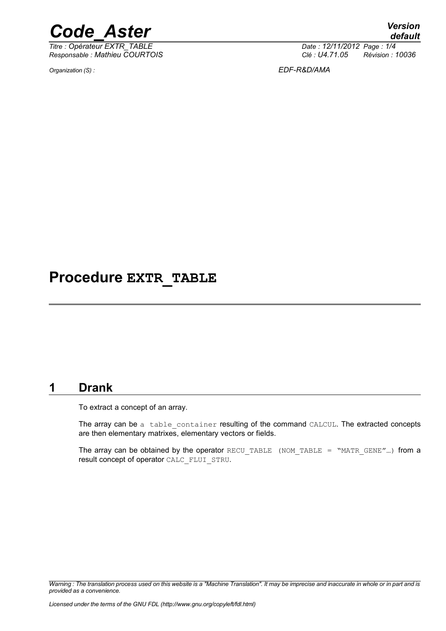

*Titre : Opérateur EXTR\_TABLE Date : 12/11/2012 Page : 1/4 Responsable : Mathieu COURTOIS Clé : U4.71.05 Révision : 10036*

*Organization (S) : EDF-R&D/AMA*

# **Procedure EXTR\_TABLE**

### **1 Drank**

To extract a concept of an array.

The array can be a table container resulting of the command CALCUL. The extracted concepts are then elementary matrixes, elementary vectors or fields.

The array can be obtained by the operator RECU\_TABLE (NOM\_TABLE = "MATR\_GENE"...) from a result concept of operator CALC\_FLUI\_STRU.

*Warning : The translation process used on this website is a "Machine Translation". It may be imprecise and inaccurate in whole or in part and is provided as a convenience.*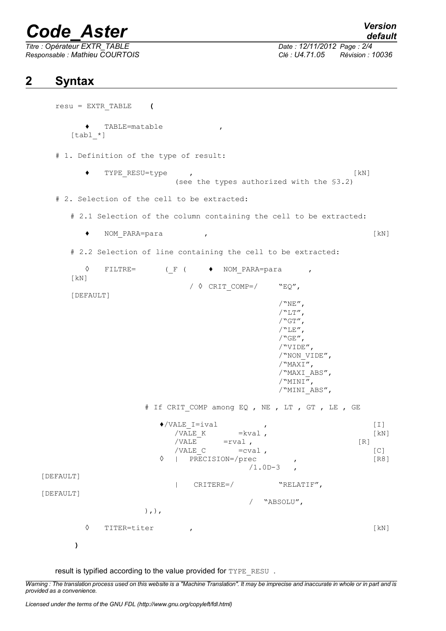# *Code\_Aster Version*

*Titre : Opérateur EXTR\_TABLE Date : 12/11/2012 Page : 2/4*

*Responsable : Mathieu COURTOIS Clé : U4.71.05 Révision : 10036*

## **2 Syntax**

resu = EXTR\_TABLE **(** ♦ TABLE=matable ,  $[tab1 *]$ # 1. Definition of the type of result: ◆ TYPE\_RESU=type , (see the types authorized with the §3.2) # 2. Selection of the cell to be extracted: # 2.1 Selection of the column containing the cell to be extracted: ♦ NOM\_PARA=para , [kN] # 2.2 Selection of line containing the cell to be extracted: ◊ FILTRE= (\_F ( ♦ NOM\_PARA=para , [kN]  $\sqrt{6}$  CRIT COMP=/ "EQ", [DEFAULT]  $/$ "NE",  $/$ "LT",  $/$ "GT",  $/$ "LE",  $/$ "GE", /"VIDE", /"NON\_VIDE",  $/$ "MAX $\overline{I}$ ", /"MAXI\_ABS",  $\sqrt{$ <sup>MINI $\overline{''}$ ,</sup> /"MINI\_ABS", # If CRIT COMP among EQ , NE , LT , GT , LE , GE  $\bullet$ /VALE I=ival , [I] /VALE K  $=$ kval ,  $[kN]$  $/VALE$  =rval ,  $[R]$ /VALE\_C = cval , [C]<br>
| PRECISION=/prec , [R8]  $\Diamond$  | PRECISION=/prec  $/1.0D-3$ [DEFAULT] | CRITERE=/ "RELATIF", [DEFAULT] / "ABSOLU",  $),$ ), ◊ TITER=titer , [kN] **)**

result is typified according to the value provided for TYPE\_RESU .

*Warning : The translation process used on this website is a "Machine Translation". It may be imprecise and inaccurate in whole or in part and is provided as a convenience.*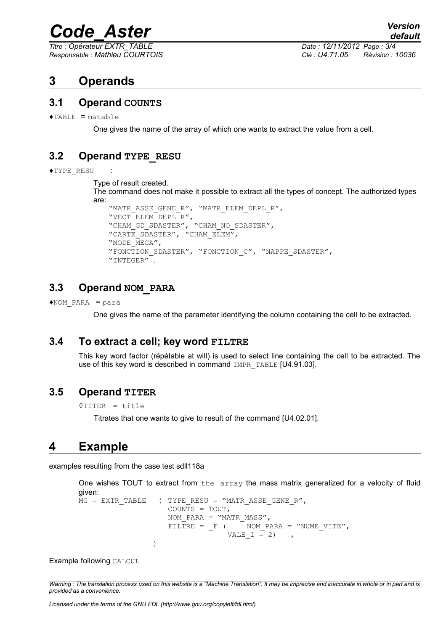# *Code\_Aster Version*

*Titre : Opérateur EXTR\_TABLE Date : 12/11/2012 Page : 3/4*

*Responsable : Mathieu COURTOIS Clé : U4.71.05 Révision : 10036*

## **3 Operands**

#### **3.1 Operand COUNTS**

 $\triangle$ TABLE = matable

One gives the name of the array of which one wants to extract the value from a cell.

#### **3.2 Operand TYPE\_RESU**

```
♦TYPE_RESU :
```

```
Type of result created.
```
The command does not make it possible to extract all the types of concept. The authorized types are:

```
"MATR_ASSE_GENE_R", "MATR_ELEM_DEPL_R",
"VECT_ELEM_DEPL_R",
"CHAM GD_SDASTER", "CHAM_NO_SDASTER",
"CARTE SDASTER", "CHAM ELEM",
"MODE MECA",
"FONCTION SDASTER", "FONCTION C", "NAPPE SDASTER",
"INTEGER" .
```
#### **3.3 Operand NOM\_PARA**

 $*$ NOM PARA = para

One gives the name of the parameter identifying the column containing the cell to be extracted.

#### **3.4 To extract a cell; key word FILTRE**

This key word factor (répétable at will) is used to select line containing the cell to be extracted. The use of this key word is described in command IMPR\_TABLE [U4.91.03].

#### **3.5 Operand TITER**

◊TITER = title

Titrates that one wants to give to result of the command [U4.02.01].

# **4 Example**

examples resulting from the case test sdll118a

```
One wishes TOUT to extract from the array the mass matrix generalized for a velocity of fluid
given:
MG = EXTR TABLE (TYPE RESU = "MATR ASSE GENE R",
                             COUNTS = TOUT, 
                             NOM PARA = "MATR MASS",
                             \nonumber \texttt{FILTE} \; = \; \_ \texttt{F} \; \; (\hspace{1cm} \texttt{NOM\_PARA} \; = \; \texttt{"NUMBER\_VITE}' \, ,VALE I = 2),
                        \lambda
```
Example following CALCUL

*Warning : The translation process used on this website is a "Machine Translation". It may be imprecise and inaccurate in whole or in part and is provided as a convenience.*